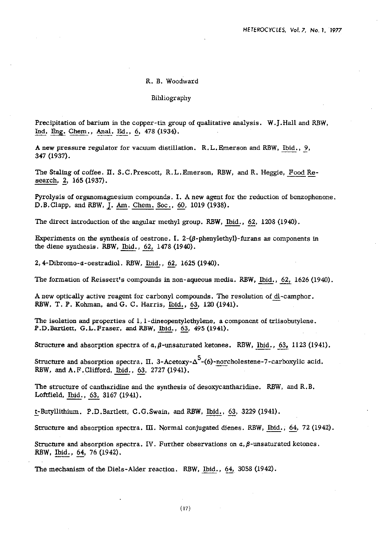## R. **B.** Woodward

## Bibliography

Precipitation of barium in the copper-tin group of qualitative analysis. W.J.Hal1 and RBW, Precipitation of barium in the copper-tin grou<br>Ind. Eng. Chem., Anal. Ed., 6, 478 (1934). Ind. Eng. Chem., Anal. Ed., 6, 478 (1934).<br>A new pressure regulator for vacuum distillation. R.L.Emerson and RBW, Ibid., 9,

347 (1937).

The Staling of coffee. **II.** S.C.Prescott, R.L.Emerson, RBW, and R. Heggie, Food Research, 2, 165 (1937).

Pyrolysis of organomagnesium compounds. I. A new agent for the reduction of benzophenone. D.B.Clapp, and RBW, J. Am. Chem. Soc., 60, 1019 (1938).

The direct introduction of the angular methyl group. RBW, Ibid., 62, 1208 (1940).

Experiments on the synthesis of oestrone. I.  $2-(\beta$ -phenylethyl)-furans as components in the diene synthesis. RBW, Ibid., 62, 1478 (1940).

2, 4-Dibromo-a-oestradiol. RBW, Ibid., 62, 1625 (1940).

The formation of Reissert's compounds in non-aqueous media. RBW, <u>Ibid., 62,</u> 1626 (1940).<br>A new optically active reagent for carbonyl compounds. The resolution of  $\underline{dl}$ -camphor.<br>PBW, T. B. Kehman, and G. G. Hamis, Ibi A new optically active reagent for carbonyl compounds. The resolution of <u>di</u>-camphor.<br>RBW, T. P. Kohman, and G. C. Harris, Ibid., 63, 120 (1941).

The isolation and properties of 1, 1-dineopentylethylene, a component of triisobutylene. The isolation and properties of 1, 1-dineopentylethylene, a contract P.D.Bartlett, G.L. Fraser, and RBW, <u>Ibid.</u>, 63, 495 (1941).

Structure and absorption spectra of  $a, \beta$ -unsaturated ketones. RBW, Ibid., 63, 1123 (1941).

**Structure and absorption spectra. II. 3-Acetoxy-Δ<sup>5</sup>-(6)-norcholestene-7-carboxylic acid.** F.D. Bartiert, G.L. Fraser, and RBW, <u>Ibid., 63</u>, 27. Exercutive and absorption spectra of  $a, \beta$ -unsatura Structure and absorption spectra. II. 3-Acetoxy-RBW, and A.F. Clifford, <u>Ibid., 63</u>, 2727 (1941).

The structure of cantharidine and the synthesis of desoxycantharidine. RBW, and R.B. Loftfield, <u>Ibid., 63</u>, 3167 (1941). Loftfield, <u>Ibid., 63</u>, 3167 (1941).<br>t-Butyllithium. P.D.Bartlett, C.G.Swain, and RBW, Ibid., 63, 3229 (1941).

Structure and absorption spectra. **IU.** Normal conjugated dimes. RBW, Ibid., 64, 72 (1942).

Structure and absorption spectra. IV. Further observations on  $a, \beta$ -unsaturated ketones. RBW, Ibid., 64, 76 (1942).

The mechanism of the Diels-Alder reaction. RBW, Ibid., 64, 3058 (1942).

(17)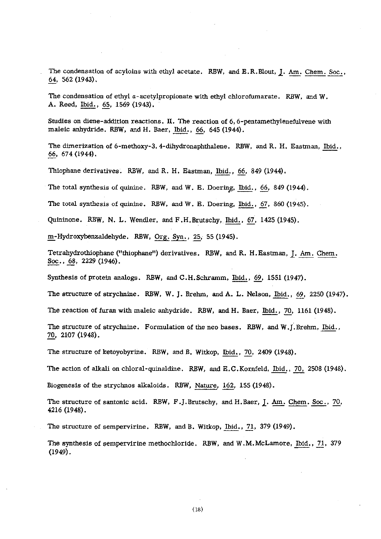The condensation of acyloins with ethyl acetate. RBW, and E.R.Blout, J. <u>Am. Chem. Soc., 64</u>, 562 (1943).

The condensation of ethyl a-acetylpropionate with ethyl chlorofumarate. **RBW,** and W. The condensation of ethyl *a*-acety<br>A. Reed, <u>Ibid., 65</u>, 1569 (1943).

Studies on diene-addition reactions. **II.** The reaction of **6,6-pentamethylenefulvene** with maleic anhydride. RBW, and H. Baer, Ibid., 66, 645 (1944).

The dimerization of 6-methoxy-3, 4-dihydronaphthalene. RBW, and R. H. Eastman, Ibid., 66, 674 (1944).

Thiophane derivatives. RBW, and R. H. Easman, Ibid., 66, 849 (1944).

The total synthesis of quinine. RBW, and W. E. Doering, Ibid., 66, 849 (1944).

The total synthesis of quinine. RBW, and W. **B.** Doering, Ibid., 67, 860 (1945).

Quininone. RBW, N. L. Wendler, and F .H.Brutschy, Ibid., 67, 1425 (1945).

m-Hydroxybenzaldehyde. RBW, Org. Syn., 25, 55 (1945).

The total synthesis of quinine. KBW, and W. E. Doering, <u>Ibid., 67</u>, 860 (1945).<br>Quininone. RBW, N. L. Wendler, and F.H.Brutschy, <u>Ibid., 67</u>, 1425 (1945).<br><u>m</u>-Hydroxybenzaldehyde. RBW, <u>Org. Syn., 25</u>, 55 (1945).<br>Tetrahyd

Synthesis of protein analogs. RBW, and C.H.Schramm, Ibid., 69, 1551 (1947).

The structure of strychnine. RBW, W. J. Brehm, and A. L. Nelson, Ibid., 69, 2250 (1947).

The reaction of **furan** with rnaleic anhydride. RBW, and H. Baer. Ibid., 70, 1161 (1948).

The structure of strychnine. Formulation of the neo bases. RBW, and W.J.Brehm, Ibid., 70, 2107 (1948). The structure of ketoyobyrine. RBW, and B. Witkop,  $\underline{\text{Ibid., 70, 2409 (1948)}}$ .<br>The action of alkali on chloral-quinaldine. RBW, and E.C.Kornfeld, Ibid., 70, 2508 (1948).

The structure of ketoyobyrine. RBW, and B. Witkop, Ibid., 70, 2409 (1948).

Biogenesis of the strychnos alkaloids. RBW, Nature, 162, 155 (1948).

The structure of santonic acid. RBW, **F** .J.Brutschy, and H.Baer, **1.** Am. Chem. Soc., 70, 4216 (1948).

The structure of sempervirine. RBW, and B. Witkop, Ibid., 71, 379 (1949).

The synthesis of sernpervirine methochloride. RBW, and W.M.McLamore, Ibid., 71, 379 (1949).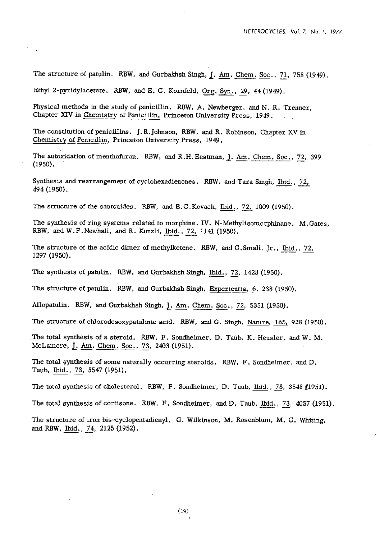The structure of patulin. RBW, and Gurbakhsh Singh, J. Am. Chem. Soc., 71, 758 (1949).

Ethyl 2-pyridylacetate. RBW, and E. C. Kornfeld, Org. Syn., 29, 44 (1949).

Physical methods in the study of penicillin. RBW, **A.** Newberger, and N. R. Trenner, Chapter **XIV** in Chemistry **f** Penicillin, Princeton University Press, 1949.

The constitution of penicillins. J.R.Johnson, RBW, and R. Robinson, Chapter XV in Chemistry **f** Penicillin, Princeton University Press, 1949.

The autoxidation of menthofuran. RBW, and R.H. Eastman, J. **Am.** Chem. Soc., 72, 399 (1950). Chemistry of Peniculin, Princeton University Press, 1949.<br>The autoxidation of menthofuran. RBW, and R.H. Eastman, J. Am. Chem. Soc., 72, 3<br>(1950).<br>Synthesis and rearrangement of cyclohexadienones. RBW, and Tara Singh, <u>Ibi</u>

494 (1950). Synthesis and rearrangement of cyclohexadienones. RBW, and Tara Singh,  $\underline{Ibid.}$ , 72, 494 (1950).<br>The structure of the santonides. RBW, and E.C.Kovach, Ibid., 72, 1009 (1950).

The synthesis of ring systems related to morphine. IV. N-Methylisomorphinane. M.Gates, RBW, and W.F.Newhall, and R. Kunzli, Ibid., *72,* 1141 (1950).

The structure of the acidic dimer of methylketene. RBW, and G.Smal1, Jr., Ibid., 72, 1297 (1950).

The synthesis of patulin. RBW, and Gurbakhsh Singh, Ibid., 72, 1428 (1950).

The synthesis of patulin. RBW, and Gurbakhsh Singh, <u>Ibid., 72</u>, 1428 (1950).<br>The structure of patulin. RBW, and Gurbakhsh Singh, <u>Experientia, 6,</u> 238 (1950). The structure of patulin. RBW, and Gurbakhsh Singh, Experientia, 6, 238 (1950).<br>Allopatulin. RBW, and Gurbakhsh Singh, <u>J. Am. Chem. Soc., 72</u>, 5351 (1950).

The synthesis of patulin. RBW, and Gurbakhsh Singh, <u>Ibid., 72</u>, 1428 (1950).<br>The structure of patulin. RBW, and Gurbakhsh Singh, <u>Experientia, 6</u>, 238 (1950).<br>Allopatulin. RBW, and Gurbakhsh Singh, <u>J. Am. Chem. Soc., 72</u> The total synthesis of a steroid. **RBW, F.** Sondheimer, D. Taub, K. Heusler, and W. M. McLamore, **L. Am.** Chem. Soc., 73, **2403** (1951).

The total synthesis of some naturally occurring steroids. RBW, F. Sondheimer, and D. Taub, Ibid., 73, 3547 (1951).

The total synthesis of cholesterol. RBW, F. Sondheimer, D. Taub, bid., 73, 3358 f1951).

The total synthesis of cortisone. RBW, F. Sondheimer, and D, Taub, Ibid., 73, 4057 (1951).

The structure of iron bis-cyclopentadienyl. G. Wilkinson, M. Rosenblum, M. C. Whiting, and RBW, <u>Ibid., 74</u>, 2125 (1952).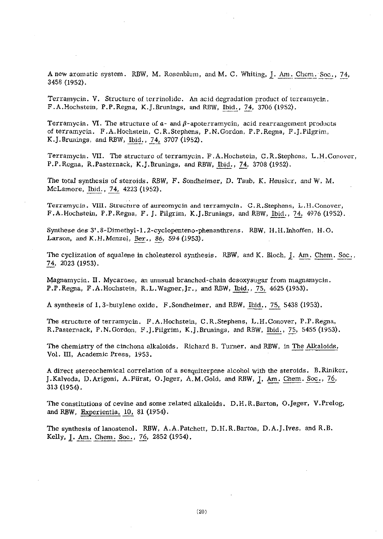A new aromatic system. RBW, M. Rosenblum, and M. C. Whiting, J. Am. Chem. Soc., 74, 3458 (1952).

Terramycin. V. Structure of terrinolidc. **An** acid degradation product of terramycin F.A.Hochstein, P.P.Regna, K.J.Brunings, and RBW, bid., *3,* 3706 (1952).

Terramycin. **VI.** The structure of  $a$ - and  $\beta$ -apoterramycin, acid rearrangement products of terramycin. F .A. Hochetein, C. R.Stephens, P. N.Gordon, P.P. Regna, F .J.Pilgrim, K.J. Brunings, and RRW, Ibid., 74, 3707 (1952).

Terramycin. VII. The structure of terramycin. F .A.Hochstein, C.R.Stephens, L.H.Conover Terramycin. VII. The structure of terramycin. F.A.Hochstein, C.R.Step<br>P.P.Regna, R.Pasternack, K.J.Brunings, and RBW, <u>Ibid., 74</u>, 3708 (1952).<br>The total synthesis of steroids. RBW, F. Sondheimer, D. Taub, K. Heusle<br>McLamo

The total synthesis of steroids. RBW, F. Sondheimer, D. Taub, K. Heusler, and W. M. McLamore, Ibid., 74, 4223 (1952).

Terramycin. **VIII.** Structure of aureomycin and terramycin. C.R.Stephens, I..H.Conover, F.A.Hochstein, P.P.Regna, F. J. Pilgrim, K.J.Brunings, and RBW, Ibid., 74, 4976 (1952).

Synthese des 3'.8-Dimethyl-1.2-cyclopenteno-phenanthrens. RBW, H.H.Inhoffen, H.O. Larson, and K.H.Menzel, Ber., 86, 594 (1953).

The cyclization of squalene in cholesterol synthesis. RBW, and K. Bloch, J. Am. Chem. Soc., 74, 2023 (1953).

Magnamycin. **11.** Mycarose, an unusual branched-chain desoxysugar from magnamycin P.P.Regna, F.A.Hochstein, R.L.Waper, Jr., and RBW, Ibid., 75, 4625 (1953).

A synthesis of 1,3-butylene oxide. F.Sondheimer, and RBW, Ibid., 75, 5438 (1953).

The structure of terramycin. F. A.Hochstein, C. R.Stephens, L.H.Conover, P.P. Regna, R.Pasternack, P.N.Gordon, F.J.Pilgrim, K.J.Brunings, and RBW, Ibid., 75, 5455 (1953).

Vol. 111, Academic Press, 1953.

The chemistry of the cinchona alkaloids. Richard B. Turner, and RBW, in <u>The Alkaloids</u>, Vol. III, Academic Press, 1953.<br>A direct stereochemical correlation of a sesquiterpene alcohol with the steroids. B. Rinike J. Kalvod **A** direct stereochemical correlation of a scsquiterpene alcohol with the steroids. B.Riniker. 313 (1954).

The constitutions of cevine and some related alkaloids. D.H.R.Barton, O.Jeger, V.Prelog, and RBW, Experientia, 10, 81 (1954). The constitutions of cevine and some related<br>and RBW, <u>Experientia, 10</u>, 81 (1954).<br>The synthesis of lanostenol. RBW, A.A.Patc<br>Kelly, <u>J. Am. Chem. Soc.</u>, <u>76</u>, 2852 (1954).

The synthesis of Ianostenol. RBW, A.A.Patchett, D.H.R. Barton, D.A.J.Ives, and R.B.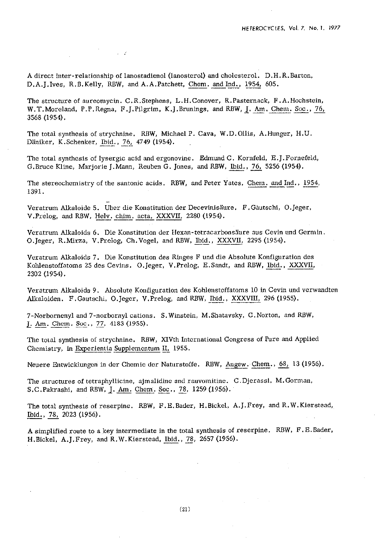A direct inter-relationship of lanostadienol (lanosterol) and cholesterol. D.H.R.Barton, D. A. J. Ives, R. B. Kelly, RBW, and A. A. Patchett, Chem. and Ind., 1954, 605.

 $\mathcal{F}^{\mathcal{F}}_{\mathcal{F}}$  , where  $\mathcal{F}^{\mathcal{F}}_{\mathcal{F}}$ 

The structure of aureomycin. C.R.Stephens, L.H.Conover, R.Pasternack, F.A.Hochstein, W .T.Moreland, P.P. Regna, F. J.Pilgrim, K. J.Brunings, and RBW, **1. Am.** Chem. Sot., 76, 3568 (1954).

The total synthesis of strychnine. RBW, Michael P. Cava, W.D.Ollis, A.Hunger, M.U. Däniker, K.Schenker, Ibid., 76, 4749 (1954).

The total synthesis of lysergic acid and ergonovine. Edmund C. Kornfeld, E.J.Fornefeld, G.Bruce Kline, Marjorie J.Mann, Reuben G. Jones, and RBW, Ibid., 76, 5256 (1954).

The stereochemistry of the santonic acids. RBW, and Peter Yates, Chern. and Ind., 45154, 1391.

Veratrum Alkaloide 5. Uber die Konstitution der Decevinistiure, F.Giutschi, O.Jeger, V.Prelog, and RBW, Helv. chim. acta, XXXVII, 2280 (1954).

Veratrum Alkaloids 6. Die Konstitution der Hexan-tetracarbonsäure aus Cevin und Germin. O.Jeger, R.Mirza, V.Prelog, Ch.Voge1, and RBW, Ibid., XXXVII, 2295 (1954).

Veratrum Alkaloids 7. Die Konstitution des Ringes F und die Absolute Konfiguration des Kohlenstoffatoms 25 des Cevins. O.Jeger, V.Prelog, E.Sandt, and RBW, Ibid., XXXVII, 2302 (1954).

Veratrum Alkaloids 9. Absolute Konfiguration des Kohlenstoffatoms 10 in Cevin und verwandten<br>Alkaloiden. F.Gautschi, O.Jeger, V.Prelog, and RBW, <u>Ibid., XXXVIII,</u> 296 (1955). 2302 (1954).<br>Veratrum Alkaloids 9. Absolute Konfi<br>Alkaloiden. F.Gautschi, O.Jeger, V.<br>7-Norbornenyl and 7-norbornyl cations<br><u>J. Am. Chem. Soc</u>., <u>77</u>, 4183 (1955).<br>The total synthesis of strychnine. RB

7-Norbornenyl and 7-norbornyl cations. S. Winstein, M. Shatavsky, C. Norton, and RBW,

The toial synthesis of strychnine. RBW, XIVth International Congress of Pure and Applied Chemistry, in Experientia Supplementum II, 1955.

Neuere Entwicklungcn in der Chemie der Nanirstoffe. RBW, **9w.** Chem., 68, **13** (1956).

The structures of tetraphyllicine, ajmalidine and rauvomitinc. C.Djerassi, M.Gorman,

S.C.Pakrashi, and RBW, <u>J. Am. Chem. Soc., 78</u>, 1259 (1956).<br>The total synthesis of reserpine. RBW, F.E.Bader, H.Bickel, <u>Ibid., 78,</u> 2023 (1956). The total synthesis of reserpine. RBW, F. E. Bader, H.Bicke1, A. J. Prey, and R. W. Kierstead,

**A** simplified route to a key intermediate in the total synthesis of reserpine. RBW, F.E.Bader, H.Bickel, A.J.Frey, and R.W.Kierstead, Ibid., 78, 2657 (1956).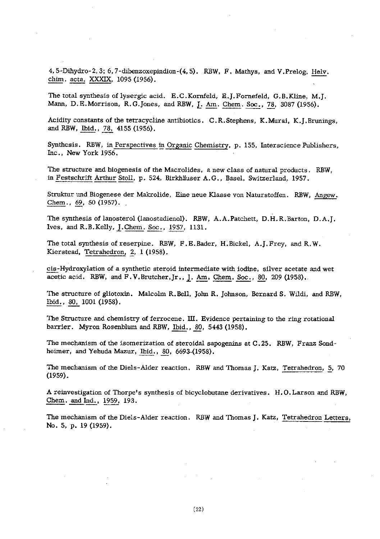4,5-Dihydro-2,3; 6,7-dibenzoxepindion-(4,5). RBW, F. Mathys, and V.Prelog, <u>Helv.</u><br>chim. <u>acta, XXXIX</u>, 1095 (1956). 4, 5-Dihydro-2, 3; 6, 7-dibenzoxep.<br><u>chim. acta, XXXIX</u>, 1095 (1956).

The total synthesis of lysergic acid. E.C.Kornfeld, E.J.Fornefeld, G.B.Kline, M.J. The total synthesis of lysergic acid. E.C.Kornfeld, E.J.Fornefeld, G.B.Kline, M.<br>Mann, D.E.Morrison, R.G.Jones, and RBW, <u>J. Am. Chem. Soc., 78</u>, 3087 (1956).

Acidity constants of the tetracycline antibiotics. C.R.Stephens, K.Murai, K.J.Brunings, and RBW, Ibid., 78, 4155 (1956). Mann, D.E.Morrison, R.G.Jones<br>Acidity constants of the tetracycli<br>and RBW, <u>Ibid., 78,</u> 4155 (1956).

Synthesis. RBW, in <u>Perspectives in Organic Chemistry</u>, p. 155, Interscience Publishers, Inc., New York 1956.<br>The structure and biogenesis of the Macrolides, a new class of natural products. RBW, in Festschrift Arthur Stol Inc., New York 1956.

The structure and biogenesis of the Macrolides, a new class of natural products. RBW, in Festschrift Arthur Stoll, p. 524, Birkhäuser A.G., Basel, Switzerland, 1957.

Struktur und Biogenese der Makrolide, Eine neue Klasse von Naturstoffen. RBW, Angew. Chem.,  $69, 50$  (1957).

The synthesis of lanosterol (lanostadienol). RBW, A.A.Patchett, D.H. R.Barton, D.A.J. Ives, and R.B.Kelly, J.Chem. Soc., 1957, 1131.

The total synthesis of reserpine. RBW, F.E.Bader, H.Bicke1, A.J.Frey, and R.W. Kierstead, Tetrahedron, 2, 1 (1958).

The total synthesis of reserpine. RBW, F.E.Bader, H.Bickel, A.J.Frey, and R.W.<br>Kierstead, <u>Tetrahedron, 2</u>, 1 (1958).<br>cis-Hydroxylation of a synthetic steroid intermediate with iodine, silver acetate and wet<br>acetic acid. acetic acid. RBW, and F.V.Brutcher, Jr.. **l. Am.** Chem. Soc., 80, 209 (1958). cis-Hydroxylation of a a<br>acetic acid. RBW, and<br>The structure of gliotox<br>Ibid., 80, 1001 (1958).

The structure of gliotoxin. Malcolm R.Bell, John R. Johnson, Bernard S. Wildi, and RBW,

The Structure and chemistry of ferrocene. **IU.** Evidence pertaining to the ring rotational barrier. Myron Rosenblum and RBW, Ibid., 80, 5443 (1958).

The mechanism of the isomerization of steroidal sapogenins at C.25. **RBW,** Franz Sondheimer, and Yebuda Mazur, Ibid., 80, 6693-(1958).

The mechanism of the Diels-Alder reaction. RBW and Thomas J. Katz, Tetrahedron, 5, 70 (1959).

A reinvestigation of Thorpe's synthesis of bicyclobutane derivatives. H. **0.** Larson and RBW, hemer, and Yehuda Mazur,<br>The mechanism of the Diels-<br>(1959).<br>A reinvestigation of Thorpe's<br>Chem. and Ind., 1959, 193.<br>The mechanism of the Diels-

The mechanism of the Diels-Alder reaction. RBW and Thomas J. Katz, Tetrahedron Letters, No. 5, p. 19 (1959).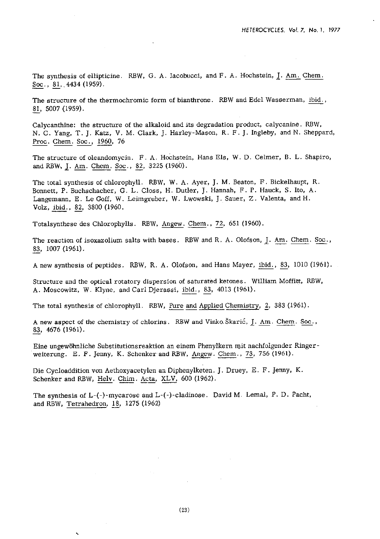The synthesis of ellipticine. RBW, G. A. Iacobucci, and F. A. Hochstein, **1.** Am. Chem.  $Soc., 81, .4434 (1959).$ 

The structure of the thermochromic form of bianthrone. RBW and Edel Wasserman,  $\underline{i}bid..$ , 81, 5007 (1959).

Calycanthine: the structure of the alkaloid and its degradation product, calycanine. RBW, N. C. Yang, T. J. Katz, V. M. Clark, J. Harley-Mason, R. F. J. Ingleby, and N. Sheppard, 81, 5007 (1959).<br>81, 5007 (1959).<br>Calycanthine: the structure of N. C. Yang, T. J. Katz, V. 1<br>Proc. Chem. Soc., 1960, 76

The structure of oleandomycin. F. A. Hochstein, Hans Els, W. D. Celmer, B. L. Shapiro, and RBW, J. Am. Chem. Soc., 82, 3225 (1960).

The total synthesis of chlorophyll. RBW, W. A. Ayer, J. M. Beaton, F. Bickelhaupt, R. Bonnett, P. Buchschacher, G. L. Closs, H. Dutler, J. Hannah, F. P. Hauck, S. Ito, A. Langemann, E. Le Goff, W. Leimgruber, W. Lwowski, J. Sauer, Z. Valenta, and H. and KBW, <u>J. Am. Chem. Soc.</u><br>The total synthesis of chloro<br>Bonnett, P. Buchschacher, G<br>Langemann, E. Le Goff, W.<br>Volz, <u>ibid., 82</u>, 3800 (1960.

Totalsynthese des Chlorophylls. RBW, Angew. Chem., 72, 651 (1960).

The reaction of isoxazolium salts with bases. RBW and R. A. Olofson, <u>J. Am. Chem. Soc.</u>, 83, 1007 (1961).

A new synthesis of peptides. RBW, **R.** A. Olofson, and Hans Mayer, ibid., 83, 1010 (1961).

Structure and the optical rotatory dispersion of saturated ketones. William Moffitt, RBW, Structure and the optical rotatory dispersion of saturated ketones. W<br>A. Moscowitz, W. Klyne, and Carl Djerassi, <u>ibid., 83</u>, 4013 (1961).

The total synthesis of chlorophyll. RBW, Pure and Applied Chemistry, 2, 383 (1961).

A new aspect of the chemistry of chlorins. RBW and Vinko Škarić, <u>J. Am. Chem. Soc.</u>, 83, 4676 (1961).

Eine ungewohnliche Substitutionsreaktion an einem Phenylkern mit nachfolgender Ringerweiterung. E. F. Jenny, K. Schenker and RBW, Angew. Chem., 73, 756 (1961).

Die Cycloaddition von Aethoxyacetylen an Diphenylketen. J. Druey, E. F. Jenny, **K.**  Schenker and RBW, Helv. Chim. Acta, XLV, 600 (1962).

The synthesis of L-(-)-mycarose and L-(-)-cladinose. David M. Lemal, **P.** D. Pacht, and RBW, Tetrahedron, 18, 1275 (1962)

 $\ddot{\phantom{0}}$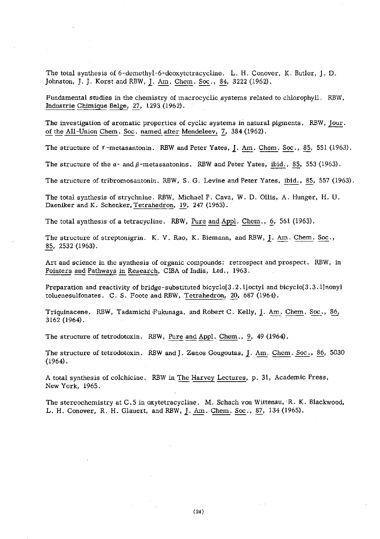The total synthesis of 6-demethyl-6-deoxytctracycline. L. H. Conover, K. Butler, J. D. Johnston, J. J. Korst and RBW, J. Am. Chem. Soc., 84, 3222 (1962).

Fundamental studies in the chemistry of macrocyclic systems related to chlorophyll. RBW, Industrie Chimique Belge, 27, 1293 (1962). Johnston, J. J. Korst and RBW, <u>J. Am. Chem. Soc., 84</u>, 3222 (1962).<br>Fundamental studies in the chemistry of macrocyclic systems related to chlorophyll. RBW, <u>Iour.</u> Industrie Chimique Belge, 27, 1293 (1962).<br>The investiga

The structure of  $\tau$ -metasantonin. RBW and Peter Yates, J. Am. Chem. Soc., 85, 551 (1963).

The structure of the  $a$ - and  $\beta$ -metasantonins. RBW and Peter Yates, ibid., 85, 553 (1963).

The structure of tribromosantonin. RBW, S. G. Levine and Peter Yates, ibid., 85, 557 (1963).

The total synthesis of strychnine. RBW, Michael P. Cava, W. D. Ollis, A. Hunger, H. U. Daeniker and K. Schenker, Tetrahedron, 19, 247 (1963).

The total synthesis of a tetracycline. RBW, Pure and Appl. Chem., **6,** 561 (1963).

The structure of streptonigrin. K. V. Rao, K. Biemann, and RBW, 1. Am. Chem. Soc., The s<br><u>85</u>, 2 85, 2532 (1963).

Art and science in the synthesis of organic compounds: retrospect and prospect. RBW, in 85, 2532 (1963).<br>Art and science in the synthesis of organic compounds: retrosp<br>Pointers and Pathways in Research, CIBA of India, Ltd., 1963.

Preparation and reactivity of bridge-substituted bicyclo[3.2.1] octyl and bicyclo[3.3.1] nonyl toluenesulfonates. C. S. Foote and RBW, Tetrahedron, 20, 687 (1964).

Triquinacene. RBW, Tadamichi Fukunaga, and Robert C. Kelly, J. Am. Chem. Soc., 86, 3162 (1964).

The structure of tetrodotoxin. RBW, Pure and Appl. Chem., 9, 49 (1964).

The structure of tetrodotoxin. RBW and J. Zanos Gougoutas, 1. Am. Chem. Soc., 86, 5030 (1964).

A total synthesis of colchicine. RBW in The Harvey Lectures, p. 31, Academic Press, New York, 1965.

The stereochemistry at C. 5 in oxytetracycline. M. Schach von Wittenau, R. K. Blackwood, L. H. Conover, R. H. Glauert, and RBW, 1. Am. Chem. Soc., *87,* 134 (1965).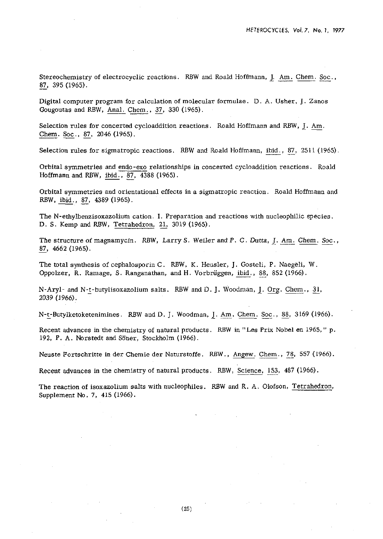Stereochemistry of electrocyclic reactions. RBW and Roald Hoffmann, <u>J. Am. Chem. Soc</u>., 87, 395 (1965). 87, 395 (1965).

Digital computer program for calculation of molecular formulae. D. A. Usher, J. Zanos Gougoutas and RBW, Anal. Chem,, 37, 330 (1965).

Selection rules for concerted cycloaddition reactions. Roald Hoffmann and RBW, J. **Am.**  Gougoutas and RBW, <u>Anal.</u> Chem. Soc., 87, 2046 (1965). Chem. Soc., 87, 2046 (1965).<br>Selection rules for sigmatropic reactions. RBW and Roald Hoffmann, ibid., 87, 2511 (1965).

Orbital symmetries and endo-exo relationships in concerted cycloaddition reactions. Roald Orbital symmetries and <u>endo-exo</u> relationsh<br>Hoffmann and RBW, <u>ibid., 87</u>, 4388 (1965). Orbital symmetries and endo<br>Hoffmann and RBW, <u>ibid., 87</u><br>Orbital symmetries and orier<br>RBW, <u>ibid., 87</u>, 4389 (1965).

Orbital symmetries and orientational effects in a sigmatropic reaction. Roald Hoffmann and RBW, ibid., 87, 4389 (1965).

The N-ethylbenzisoxazolium cation. I. Preparation and reactions with nucleophilic species. D. S. Kemp and RBW, Tetrahedron, 21, 3019 (1965).

The structure of magnamycin. RBW, Larry S. Weiler and P. C. Dutta, <u>J. Am. Chem. Soc</u>., <u>87</u>, 4662 (1965).

The total synthesis of cephalosporin C. RBW, K. Heusler, J. Gosteli, P. Naegeli, W. 87, 4662 (1965).<br>The total synthesis of cephalosporin C. RBW, K. Heusler, J. Gosteli, P. Naegeli,<br>Oppolzer, R. Ramage, S. Ranganathan, and H. Vorbrüggen, ibid., 88, 852 (1966).

N-Aryl- and N-t-butylisoxazolium salts. RBW and D. J. Woodman, J. Org. Chem., 31, 2039 (1966).

N-c-Butylketoketenimines. RBW and D. J. Woodman, J. Am. Chem. Soc., *88,* 3169 (1966).

Recent advances in the chemistry of natural products. RBW in "Les Prix Nobel en 1965, " p. 192, P. A. Norstedt and Soner, Stockholm (1966).

Neuste Fortschritte in der Chemie der Naturstoffe. RBW., Angew, Chem., 78, 557 (1966).

Recent advances in the chemistry of natural products. RBW, Science, 153, 487 (1966).

The reaction of isoxazolium salts with nucleophiles. RBW and R. A. Olofson, Tetrahedron, Supplement No. 7, 415 (1966).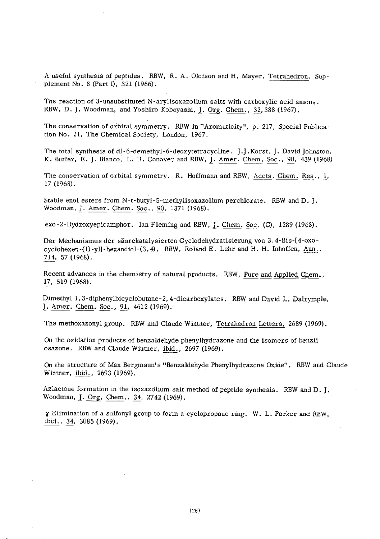A useful synthesis of peptides. RBW, R. A. Olofson and H. Mayer, Tetrahedron, Sup plement No. 8 (Part I), 321 (1966).

The reaction of 3-unsubstituted N-arylisoxazolium salts with carboxylic acid anions RBW, D. J. Woodman, and Yoshiro Kobayashi, J. Org. Chem., 32,388 (1967).

The conservation of orbital symmetry. RBW in "Aromaticity", p. 217, Special Publication No. 21, The Chemical Society, London, 1967.

The total synthesis of dl-6-demethyl-6-deoxytetracycline. **J.J.Korst, J. David Johnston**, K. Butler, E. J. Bianco, L. H. Conover and RBW, J. Amer. Chem. Soc., 90, 439 (1968)

The conservation of orbital symmetry. R. Hoffmann and RBW, Accts. Chem. Res., *I,*  17 (1968). K. Butler, E. J. Bianco, L. H. Conover and RBW,<br>The conservation of orbital symmetry. R. Hoffma<br>17 (1968).<br>Stable enol esters from N-t-butyl-5-methylisoxazol<br>Woodman, <u>J. Amer. Chem. Soc., 90</u>, 1371 (1968).<br>PX0-2-Hydroxyen

Stable enol esters from N-t-butyl-5-methylisoxazolium perchlorate. RBW and D. J. The conservation of orbital symmetry. R. Hoffmann and RBW, <u>Accts. Chem. Res</u>.,<br>17 (1968).<br>3table enol esters from N-t-butyl-5-methylisoxazolium perchlorate. RBW and D. J.<br>2000 Noodman, <u>J. Amer. Chem. Soc., 90</u>, 1371 (196

Der Mechanismus der säurekatalysierten Cyclodehydratisierung von 3.4-Bis-[4-oxoexo-2-Hydroxyepicamphor. Ian Fleming and RBW, <u>J</u>. Chem. Soc. (C), 1289 (1968).<br>Der Mechanismus der säurekatalysierten Cyclodehydratisierung von 3.4-Bis-[4-oxo-cyclohexen-(1)-yl]-hexandiol-(3.4). RBW, Roland E. Lehr and H. Der Mechanism<br>cyclohexen-(1)-<br>714, 57 (1968).

Recent advances in the chemistry of natural products. RBW, Pure and Applied Chem., Recent advance<br>17, 519 (1968).

Dimethyl **1,3-diphenylbicyclobutane-2,4-dicarboxylates.** RBW and David L. Dalrymple, **L.** Amer. Chem. Soc., **91,** 4612 (1969).

The methoxazonyl group. RBW and Claude Winmer, Tetrahedron Lerters, 2689 (1969).

On the oxidation products of benzaldehyde phenylhydrazone and the isomers of benzil The methoxazonyl group. RBW and Claude Wintner, Tet<br>On the oxidation products of benzaldehyde phenylhydrazo<br>osazone. RBW and Claude Wintner, ibid., 2697 (1969).

On the structure of Max Bergmann's "Benzaldehyde Phenylhydrazone Oxide". RBW and Claude Wintner, *ibid.*, 2693 (1969).

Azlactone formation in the isoxazolium salt method of peptide synthesis. RBW and D. J. Woodman, J. Org. Chem., 34, 2742 (1969).

*r* Elimination of a sulfonyl group to form a cyclopropane ring. W. L. Parker and RBW, ibid., 34, 3085 (1969).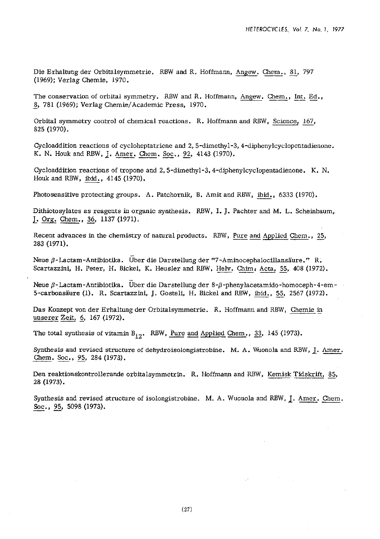Die Erhaltung der Orbitalsymmetrie. RBW and R. Hoffmann, Angew. Chem., 81, 797 (1969): Verlag Chemie, 1970.

The conservation of orbital symmetry. RBW and R. Hoffmann, Angew. Chem., Int. Ed., - 8, 781 (1969); Verlag Chemie/Academic Press, 1970.

Orbital symmetry control of chemical reactions. R. Hoffmann and RBW, Science, 167, 825 (1970).

Cycloaddition reactions of cycloheptatriene and **2,s-dimethyl-3,4-diphenylcyclopentadienone.**  K. N. Houk and RBW, J. Amer. Chem. Soc., 92, 4143 (1970).

Cycloaddition reactions of tropone and **2,s-dimethyl-3.4-diphenylcyclopentadienone.** K. N. Houk and RBW, ibid., 4145 (1970).

Photosensitive protecting groups. A. Patchornik, B. Amit and RBW, ibid., 6333 (1970).

Dithiotosylates as reagents in organic synthesis. RBW, I. J. Pachter and M. L. Scheinbaum, L. Org. Chem., **36,** 1137 (1971).

Recent advances in the chemistry of natural products. RBW, Pure and Applied Chem., 25, 283 (1971).

Neue  $\beta$ -Lactam-Antibiotika. Über die Darstellung der "7-Aminocephalocillansäure." R. Scartazzini, H. Peter, H. Bickel, K. Heusler and RBW, Helv. Chim; Acta, 55, 408 (1972).

Neue β-Lactam-Antibiotika. Über die Darstellung der 8-β-phenylacetamido-homoceph-4-em<br>5-carbonsäure (1). R. Scartazzini, J. Gosteli, H. Bickel and RBW, <u>ibid., 55</u>, 2567 (1972).<br>Das Konzept von der Erhaltung der Orbitalsy

Das Konzept von der Erhaltung der Orbitalsymmetrie. R. Hoffmann and RBW, Chemie **in** 

The total synthesis of vitamin  $B_{12}$ . RBW, <u>Pure and Applied Chem., 33</u>, 145 (1973).<br>Synthesis and revised structure of dehydroisolongistrobine. M. A. Wuonola and RBV Chem. Soc., 95, 284 (1973). Synthesis and revised structure of dehydroisolongistrobine. M. A. Wuonola and RBW, J. Amer. Chem. Soc., 95, 284 (1973).

Den reaktionskontrollerande orbitalsymmetrin. R. Hoffmann and RBW, Kemisk Tidskrift, 85, 28 (1973).

Synthesis and revised structure of isolongistrobine. M. A. Wuonola and RBW,  $\underline{\textbf{J}}$ . Amer. Chem. 28 (1973).<br>Synthesis and revised *s*<br>Soc., 95, 5098 (1973).